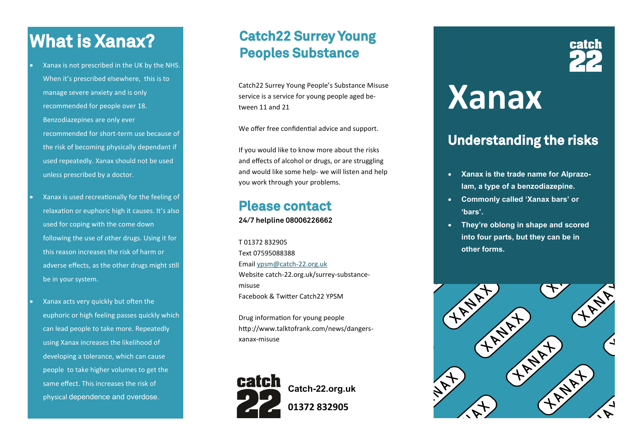### **What is Xanax?**

- Xanax is not prescribed in the UK by the NHS. When it's prescribed elsewhere, this is to manage severe anxiety and is only recommended for people over 18. Benzodiazepines are only ever recommended for short-term use because of the risk of becoming physically dependant if used repeatedly. Xanax should not be used unless prescribed by a doctor.
- Xanax is used recreationally for the feeling of relaxation or euphoric high it causes. It's also used for coping with the come down following the use of other drugs. Using it for this reason increases the risk of harm or adverse effects, as the other drugs might still be in your system.
- Xanax acts very quickly but often the euphoric or high feeling passes quickly which can lead people to take more. Repeatedly using Xanax increases the likelihood of developing a tolerance, which can cause people to take higher volumes to get the same effect. This increases the risk of physical dependence and overdose.

#### **Catch22 Surrey Young Peoples Substance**

Catch22 Surrey Young People's Substance Misuse service is a service for young people aged between 11 and 21

We offer free confidential advice and support.

If you would like to know more about the risks and effects of alcohol or drugs, or are struggling and would like some help- we will listen and help you work through your problems.

#### **Please contact**

**24/7 helpline 08006226662**

T 01372 832905 Text 07595088388 Email [ypsm@catch](mailto:ypsm@catch-22.org.uk)-22.org.uk Website catch-22.org.uk/surrey-substancemisuse Facebook & Twitter Catch22 YPSM

Drug information for young people http://www.talktofrank.com/news/dangersxanax-misuse



# **Xanax**

#### **Understanding the risks**

- **Xanax is the trade name for Alprazolam, a type of a benzodiazepine.**
- **Commonly called 'Xanax bars' or 'bars'.**
- **They're oblong in shape and scored into four parts, but they can be in other forms.**